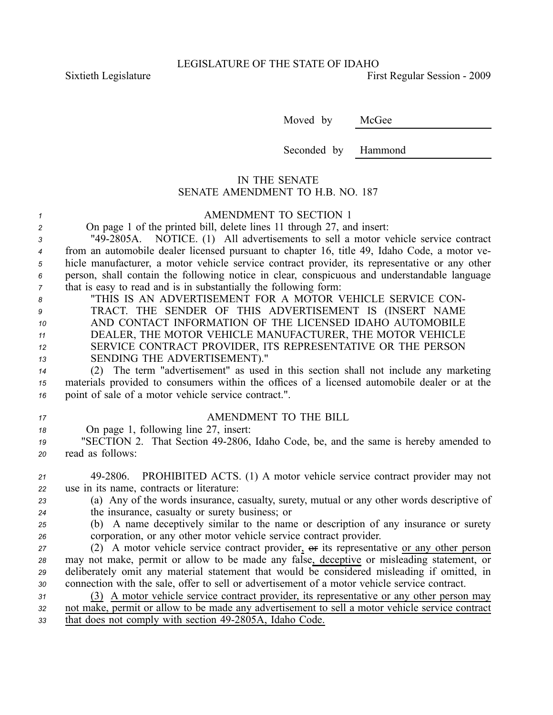Sixtieth Legislature **First** Regular Session - 2009

Moved by McGee

Seconded by Hammond

## IN THE SENATE SENATE AMENDMENT TO H.B. NO. 187

## *<sup>1</sup>* AMENDMENT TO SECTION 1

*<sup>2</sup>* On page 1 of the printed bill, delete lines 11 through 27, and insert:

 "492805A. NOTICE. (1) All advertisements to sell <sup>a</sup> motor vehicle service contract from an automobile dealer licensed pursuan<sup>t</sup> to chapter 16, title 49, Idaho Code, <sup>a</sup> motor ve- hicle manufacturer, <sup>a</sup> motor vehicle service contract provider, its representative or any other person, shall contain the following notice in clear, conspicuous and understandable language that is easy to read and is in substantially the following form:

| 8  | "THIS IS AN ADVERTISEMENT FOR A MOTOR VEHICLE SERVICE CON-  |
|----|-------------------------------------------------------------|
| 9  | TRACT. THE SENDER OF THIS ADVERTISEMENT IS (INSERT NAME     |
| 10 | AND CONTACT INFORMATION OF THE LICENSED IDAHO AUTOMOBILE    |
| 11 | DEALER, THE MOTOR VEHICLE MANUFACTURER, THE MOTOR VEHICLE   |
| 12 | SERVICE CONTRACT PROVIDER, ITS REPRESENTATIVE OR THE PERSON |
| 13 | SENDING THE ADVERTISEMENT)."                                |

*<sup>14</sup>* (2) The term "advertisement" as used in this section shall not include any marketing *<sup>15</sup>* materials provided to consumers within the offices of <sup>a</sup> licensed automobile dealer or at the *<sup>16</sup>* point of sale of <sup>a</sup> motor vehicle service contract.".

## *<sup>17</sup>* AMENDMENT TO THE BILL

*<sup>18</sup>* On page 1, following line 27, insert:

*<sup>19</sup>* "SECTION 2. That Section 492806, Idaho Code, be, and the same is hereby amended to *<sup>20</sup>* read as follows:

*<sup>21</sup>* 492806. PROHIBITED ACTS. (1) A motor vehicle service contract provider may not *<sup>22</sup>* use in its name, contracts or literature:

*<sup>23</sup>* (a) Any of the words insurance, casualty, surety, mutual or any other words descriptive of *<sup>24</sup>* the insurance, casualty or surety business; or

*<sup>25</sup>* (b) A name deceptively similar to the name or description of any insurance or surety *<sup>26</sup>* corporation, or any other motor vehicle service contract provider.

27 (2) A motor vehicle service contract provider,  $\Theta$ **F** its representative or any other person may not make, permit or allow to be made any false, deceptive or misleading statement, or deliberately omit any material statement that would be considered misleading if omitted, in connection with the sale, offer to sell or advertisement of <sup>a</sup> motor vehicle service contract.

*<sup>31</sup>* (3) A motor vehicle service contract provider, its representative or any other person may *<sup>32</sup>* not make, permit or allow to be made any advertisement to sell <sup>a</sup> motor vehicle service contract 33 that does not comply with section 49-2805A, Idaho Code.